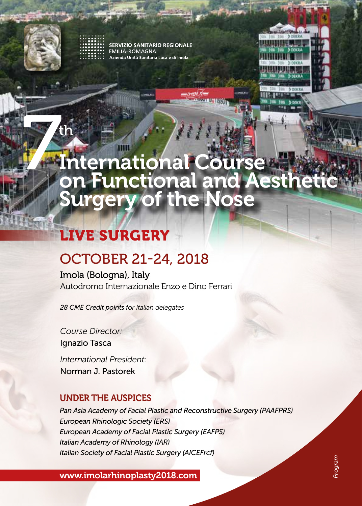

**ERVIZIO SANITARIO REGIONALE EMILIA-ROMAGNA** Azienda Unità Sanitaria Locale di Imola



# **The Times** International Course on Functional and Aesthetic Surgery of the Nose

## LIVE SURGERY

### OCTOBER 21-24, 2018

Imola (Bologna), Italy Autodromo Internazionale Enzo e Dino Ferrari

*28 CME Credit points for Italian delegates*

*Course Director:*  Ignazio Tasca

*International President:*  Norman J. Pastorek

### UNDER THE AUSPICES

*Pan Asia Academy of Facial Plastic and Reconstructive Surgery (PAAFPRS) European Rhinologic Society (ERS) European Academy of Facial Plastic Surgery (EAFPS) Italian Academy of Rhinology (IAR) Italian Society of Facial Plastic Surgery (AICEFrcf)*

www.imolarhinoplasty2018.com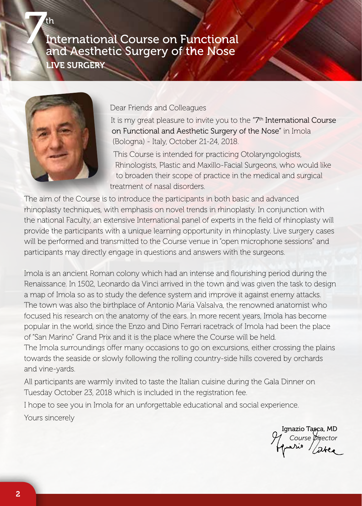

Dear Friends and Colleagues

It is my great pleasure to invite you to the "7<sup>th</sup> International Course on Functional and Aesthetic Surgery of the Nose" in Imola (Bologna) - Italy, October 21-24, 2018.

This Course is intended for practicing Otolaryngologists, Rhinologists, Plastic and Maxillo-Facial Surgeons, who would like to broaden their scope of practice in the medical and surgical treatment of nasal disorders.

The aim of the Course is to introduce the participants in both basic and advanced rhinoplasty techniques, with emphasis on novel trends in rhinoplasty. In conjunction with the national Faculty, an extensive International panel of experts in the field of rhinoplasty will provide the participants with a unique learning opportunity in rhinoplasty. Live surgery cases will be performed and transmitted to the Course venue in "open microphone sessions" and participants may directly engage in questions and answers with the surgeons.

Imola is an ancient Roman colony which had an intense and flourishing period during the Renaissance. In 1502, Leonardo da Vinci arrived in the town and was given the task to design a map of Imola so as to study the defence system and improve it against enemy attacks. The town was also the birthplace of Antonio Maria Valsalva, the renowned anatomist who focused his research on the anatomy of the ears. In more recent years, Imola has become popular in the world, since the Enzo and Dino Ferrari racetrack of Imola had been the place of "San Marino" Grand Prix and it is the place where the Course will be held. The Imola surroundings offer many occasions to go on excursions, either crossing the plains

towards the seaside or slowly following the rolling country-side hills covered by orchards and vine-yards.

All participants are warmly invited to taste the Italian cuisine during the Gala Dinner on Tuesday October 23, 2018 which is included in the registration fee.

I hope to see you in Imola for an unforgettable educational and social experience. Yours sincerely

Ignazio Tasca, MD *Course Director*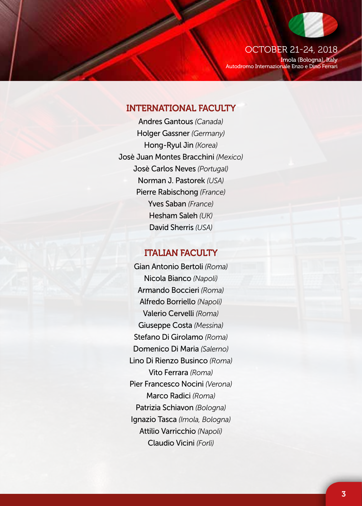

Autodromo Internazionale Enzo e Dino Ferrari

#### INTERNATIONAL FACULTY

Andres Gantous *(Canada)* Holger Gassner *(Germany)* Hong-Ryul Jin *(Korea)* Josè Juan Montes Bracchini *(Mexico)* Josè Carlos Neves *(Portugal)* Norman J. Pastorek *(USA)* Pierre Rabischong *(France)* Yves Saban *(France)* Hesham Saleh *(UK)* David Sherris *(USA)*

#### ITALIAN FACULTY

Gian Antonio Bertoli *(Roma)* Nicola Bianco *(Napoli)* Armando Boccieri *(Roma)* Alfredo Borriello *(Napoli)* Valerio Cervelli *(Roma)* Giuseppe Costa *(Messina)* Stefano Di Girolamo *(Roma)* Domenico Di Maria *(Salerno)* Lino Di Rienzo Businco *(Roma)* Vito Ferrara *(Roma)* Pier Francesco Nocini *(Verona)* Marco Radici *(Roma)* Patrizia Schiavon *(Bologna)*  Ignazio Tasca *(Imola, Bologna)* Attilio Varricchio *(Napoli)* Claudio Vicini *(Forlì)*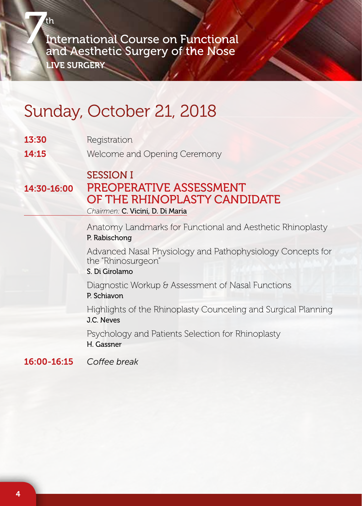# Sunday, October 21, 2018

| 13:30       | Registration                                                                                                                                    |  |  |
|-------------|-------------------------------------------------------------------------------------------------------------------------------------------------|--|--|
| 14:15       | Welcome and Opening Ceremony<br><b>SESSION I</b><br>PREOPERATIVE ASSESSMENT<br>OF THE RHINOPLASTY CANDIDATE<br>Chairmen: C. Vicini, D. Di Maria |  |  |
| 14:30-16:00 |                                                                                                                                                 |  |  |
|             | Anatomy Landmarks for Functional and Aesthetic Rhinoplasty<br>P. Rabischong                                                                     |  |  |
|             | Advanced Nasal Physiology and Pathophysiology Concepts for<br>the "Rhinosurgeon"<br>S. Di Girolamo                                              |  |  |
|             | Diagnostic Workup & Assessment of Nasal Functions<br>P. Schiavon                                                                                |  |  |
|             | Highlights of the Rhinoplasty Counceling and Surgical Planning<br>J.C. Neves                                                                    |  |  |
|             | Psychology and Patients Selection for Rhinoplasty<br>H. Gassner                                                                                 |  |  |

16:00-16:15 *Coffee break*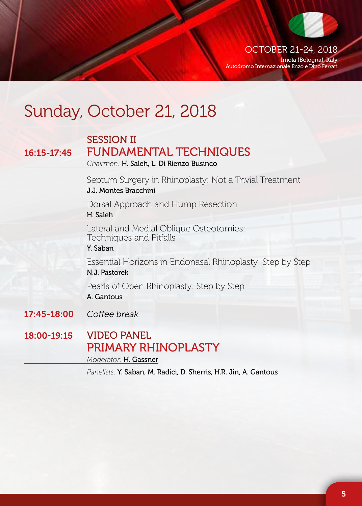

OCTOBER 21-24, 2018 Imola (Bologna), Italy Autodromo Internazionale Enzo e Dino Ferrari

## Sunday, October 21, 2018

### SESSION II 16:15-17:45 FUNDAMENTAL TECHNIQUES *Chairmen:* H. Saleh, L. Di Rienzo Businco

Septum Surgery in Rhinoplasty: Not a Trivial Treatment J.J. Montes Bracchini

Dorsal Approach and Hump Resection H. Saleh

Lateral and Medial Oblique Osteotomies: Techniques and Pitfalls

Y. Saban

Essential Horizons in Endonasal Rhinoplasty: Step by Step N.J. Pastorek

Pearls of Open Rhinoplasty: Step by Step A. Gantous

17:45-18:00 *Coffee break*

18:00-19:15 VIDEO PANEL PRIMARY RHINOPLASTY *Moderator:* H. Gassner

*Panelists:* Y. Saban, M. Radici, D. Sherris, H.R. Jin, A. Gantous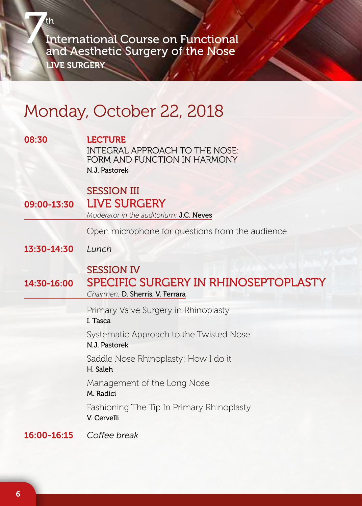## Monday, October 22, 2018

| 08:30       | <b>LECTURE</b><br>INTEGRAL APPROACH TO THE NOSE:<br>FORM AND FUNCTION IN HARMONY<br>N.J. Pastorek |  |  |
|-------------|---------------------------------------------------------------------------------------------------|--|--|
| 09:00-13:30 | <b>SESSION III</b><br><b>LIVE SURGERY</b><br>Moderator in the auditorium: J.C. Neves              |  |  |
|             | Open microphone for questions from the audience                                                   |  |  |
| 13:30-14:30 | Lunch                                                                                             |  |  |
| 14:30-16:00 | <b>SESSION IV</b><br>SPECIFIC SURGERY IN RHINOSEPTOPLASTY<br>Chairmen: D. Sherris, V. Ferrara     |  |  |
|             | Primary Valve Surgery in Rhinoplasty<br>I. Tasca                                                  |  |  |
|             | Systematic Approach to the Twisted Nose<br>N.J. Pastorek                                          |  |  |
|             | Saddle Nose Rhinoplasty: How I do it<br>H. Saleh                                                  |  |  |
|             | Management of the Long Nose<br>M. Radici                                                          |  |  |
|             | Fashioning The Tip In Primary Rhinoplasty<br>V. Cervelli                                          |  |  |
| 16:00-16:15 | Coffee break                                                                                      |  |  |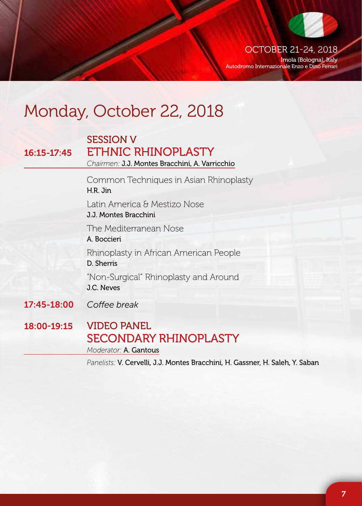

OCTOBER 21-24, 2018 Imola (Bologna), Italy

Autodromo Internazionale Enzo e Dino Ferrari

## Monday, October 22, 2018

### SESSION V 16:15-17:45 ETHNIC RHINOPLASTY *Chairmen:* J.J. Montes Bracchini, A. Varricchio Common Techniques in Asian Rhinoplasty H.R. Jin Latin America & Mestizo Nose J.J. Montes Bracchini The Mediterranean Nose A. Boccieri Rhinoplasty in African American People D. Sherris "Non-Surgical" Rhinoplasty and Around J.C. Neves 17:45-18:00 *Coffee break* 18:00-19:15 VIDEO PANEL SECONDARY RHINOPLASTY

*Moderator:* A. Gantous

*Panelists:* V. Cervelli, J.J. Montes Bracchini, H. Gassner, H. Saleh, Y. Saban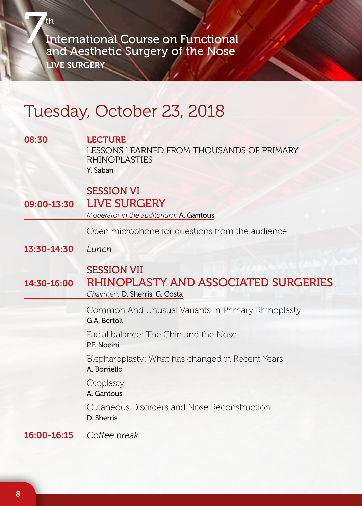## Tuesday, October 23, 2018

| 08:30       | <b>LECTURE</b><br>LESSONS LEARNED FROM THOUSANDS OF PRIMARY<br><b>RHINOPLASTIES</b><br>Y. Saban |  |
|-------------|-------------------------------------------------------------------------------------------------|--|
| 09:00-13:30 | <b>SESSION VI</b><br><b>LIVE SURGERY</b><br>Moderator in the auditorium: A. Gantous             |  |
|             | Open microphone for questions from the audience                                                 |  |
| 13:30-14:30 | Lunch                                                                                           |  |
| 14:30-16:00 | <b>SESSION VII</b><br>RHINOPLASTY AND ASSOCIATED SURGERIES<br>Chairmen: D. Sherris, G. Costa    |  |
|             | Common And Unusual Variants In Primary Rhinoplasty<br>G.A. Bertoli                              |  |
|             | Facial balance: The Chin and the Nose<br>P.F. Nocini                                            |  |
|             | Blepharoplasty: What has changed in Recent Years<br>A. Borriello                                |  |
|             | Otoplasty<br>A. Gantous                                                                         |  |
|             | Cutaneous Disorders and Nose Reconstruction<br>D. Sherris                                       |  |
| 16:00-16:15 | Coffee break                                                                                    |  |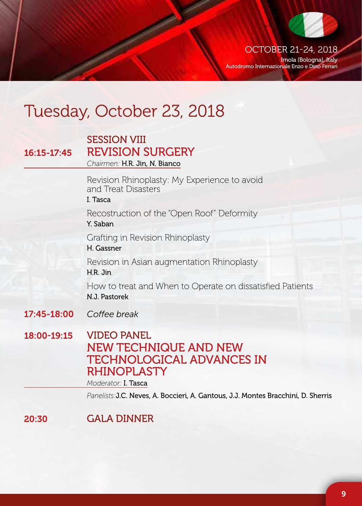

OCTOBER 21-24, 2018 Imola (Bologna), Italy

Autodromo Internazionale Enzo e Dino Ferrari

## Tuesday, October 23, 2018

### SESSION VIII 16:15-17:45 REVISION SURGERY

*Chairmen:* H.R. Jin, N. Bianco

Revision Rhinoplasty: My Experience to avoid and Treat Disasters

#### I. Tasca

Recostruction of the "Open Roof" Deformity Y. Saban

Grafting in Revision Rhinoplasty

H. Gassner

Revision in Asian augmentation Rhinoplasty H.R. Jin

How to treat and When to Operate on dissatisfied Patients N.J. Pastorek

- 17:45-18:00 *Coffee break*
- 18:00-19:15 VIDEO PANEL NEW TECHNIQUE AND NEW TECHNOLOGICAL ADVANCES IN RHINOPI ASTY

*Moderator:* I. Tasca

*Panelists:*J.C. Neves, A. Boccieri, A. Gantous, J.J. Montes Bracchini, D. Sherris

20:30 GALA DINNER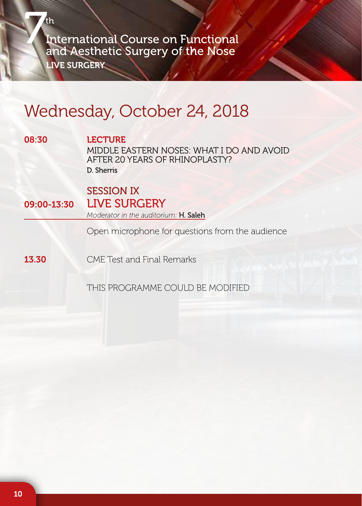### Wednesday, October 24, 2018

#### 08:30 LECTURE

MIDDLE EASTERN NOSES: WHAT I DO AND AVOID AFTER 20 YEARS OF RHINOPLASTY? D. Sherris

### SESSION IX 09:00-13:30 LIVE SURGERY

*Moderator in the auditorium:* H. Saleh

Open microphone for questions from the audience

**13.30** CMF Test and Final Remarks

THIS PROGRAMME COULD BE MODIFIED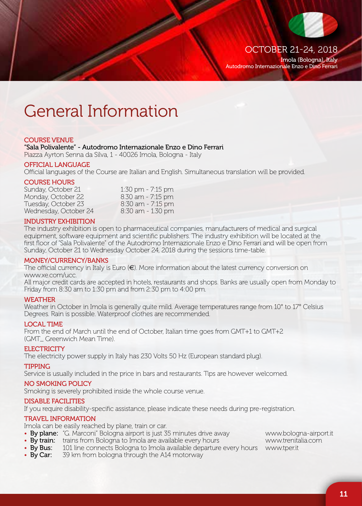

Imola (Bologna), Italy Autodromo Internazionale Enzo e Dino Ferrari

## General Information

#### COURSE VENUE

"Sala Polivalente" - Autodromo Internazionale Enzo e Dino Ferrari

Piazza Ayrton Senna da Silva, 1 - 40026 Imola, Bologna - Italy

#### OFFICIAL LANGUAGE

Official languages of the Course are Italian and English. Simultaneous translation will be provided.

### **COURSE HOURS**<br>Sunday, October 21

1:30 pm - 7:15 pm<br>8.30 am - 7:15 pm Monday, October 22 8.30 am - 7:15 pm Tuesday, October 23 8:30 am - 7:15 pm Wednesday, October 24

#### INDUSTRY EXHIBITION

The industry exhibition is open to pharmaceutical companies, manufacturers of medical and surgical equipment, software equipment and scientific publishers. The industry exhibition will be located at the first floor of "Sala Polivalente" of the Autodromo Internazionale Enzo e Dino Ferrari and will be open from Sunday, October 21 to Wednesday October 24, 2018 during the sessions time-table.

#### MONEY/CURRENCY/BANKS

The official currency in Italy is Euro ( $\in$ ). More information about the latest currency conversion on www.xe.com/ucc.

All major credit cards are accepted in hotels, restaurants and shops. Banks are usually open from Monday to Friday from 8:30 am to 1:30 pm and from 2:30 pm to 4:00 pm.

#### **WEATHER**

Weather in October in Imola is generally quite mild. Average temperatures range from 10° to 17° Celsius Degrees. Rain is possible. Waterproof clothes are recommended.

#### LOCAL TIME

From the end of March until the end of October, Italian time goes from GMT+1 to GMT+2 (GMT\_ Greenwich Mean Time).

#### ELECTRICITY

The electricity power supply in Italy has 230 Volts 50 Hz (European standard plug).

#### TIPPING

Service is usually included in the price in bars and restaurants. Tips are however welcomed.

#### NO SMOKING POLICY

Smoking is severely prohibited inside the whole course venue.

#### DISABLE FACILITIES

If you require disability-specific assistance, please indicate these needs during pre-registration.

#### TRAVEL INFORMATION

Imola can be easily reached by plane, train or car.

- By plane: "G. Marconi" Bologna airport is just 35 minutes drive away www.bologna-airport.it
- By train: trains from Bologna to Imola are available every hours www.trenitalia.com<br>• By Bus: 101 line connects Bologna to Imola available departure every hours www.tper.it
- 101 line connects Bologna to Imola available departure every hours www.tper.it
- By Car: 39 km from bologna through the A14 motorway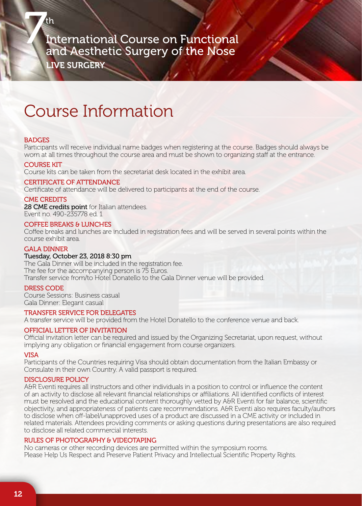LIVE SURGERY

### Course Information

#### **BADGES**

Participants will receive individual name badges when registering at the course. Badges should always be worn at all times throughout the course area and must be shown to organizing staff at the entrance.

#### COURSE KIT

Course kits can be taken from the secretariat desk located in the exhibit area.

#### CERTIFICATE OF ATTENDANCE

Certificate of attendance will be delivered to participants at the end of the course.

#### CME CREDITS

28 CME credits point for Italian attendees. Event no. 490-235778 ed. 1

#### COFFEE BREAKS & LUNCHES

Coffee breaks and lunches are included in registration fees and will be served in several points within the course exhibit area.

#### GALA DINNER

#### Tuesday, October 23, 2018 8:30 pm

The Gala Dinner will be included in the registration fee. The fee for the accompanying person is 75 Euros. Transfer service from/to Hotel Donatello to the Gala Dinner venue will be provided.

#### DRESS CODE

Course Sessions: Business casual Gala Dinner: Elegant casual

#### TRANSFER SERVICE FOR DELEGATES

A transfer service will be provided from the Hotel Donatello to the conference venue and back.

#### OFFICIAL LETTER OF INVITATION

Official invitation letter can be required and issued by the Organizing Secretariat, upon request, without implying any obligation or financial engagement from course organizers.

#### VISA

Participants of the Countries requiring Visa should obtain documentation from the Italian Embassy or Consulate in their own Country. A valid passport is required.

#### DISCLOSURE POLICY

A&R Eventi requires all instructors and other individuals in a position to control or influence the content of an activity to disclose all relevant financial relationships or affiliations. All identified conflicts of interest must be resolved and the educational content thoroughly vetted by A&R Eventi for fair balance, scientific objectivity, and appropriateness of patients care recommendations. A&R Eventi also requires faculty/authors to disclose when off-label/unapproved uses of a product are discussed in a CME activity or included in related materials. Attendees providing comments or asking questions during presentations are also required to disclose all related commercial interests.

#### RULES OF PHOTOGRAPHY & VIDEOTAPING

No cameras or other recording devices are permitted within the symposium rooms. Please Help Us Respect and Preserve Patient Privacy and Intellectual Scientific Property Rights.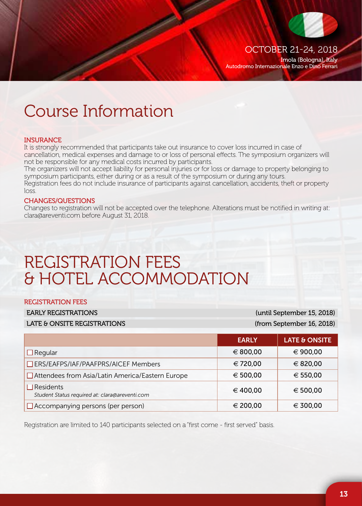

OCTOBER 21-24, 2018

Imola (Bologna), Italy Autodromo Internazionale Enzo e Dino Ferrari

### Course Information

#### **INSURANCE**

It is strongly recommended that participants take out insurance to cover loss incurred in case of cancellation, medical expenses and damage to or loss of personal effects. The symposium organizers will not be responsible for any medical costs incurred by participants.

The organizers will not accept liability for personal injuries or for loss or damage to property belonging to symposium participants, either during or as a result of the symposium or during any tours.

Registration fees do not include insurance of participants against cancellation, accidents, theft or property loss.

#### CHANGES/QUESTIONS

Changes to registration will not be accepted over the telephone. Alterations must be notified in writing at: clara@areventi.com before August 31, 2018.

## REGISTRATION FEES & HOTEL ACCOMMODATION

#### REGISTRATION FEES

| <b>EARLY REGISTRATIONS</b> |
|----------------------------|
|----------------------------|

LATE & ONSITE REGISTRATIONS (from September 16, 2018)

(until September 15, 2018)

|                                                                    | <b>EARLY</b> | LATE & ONSITE |
|--------------------------------------------------------------------|--------------|---------------|
| $\Box$ Regular                                                     | € 800.00     | € 900.00      |
| □ ERS/EAFPS/IAF/PAAFPRS/AICEF Members                              | € 720.00     | € 820,00      |
| $\Box$ Attendees from Asia/Latin America/Eastern Europe            | € 500,00     | € 550,00      |
| $\Box$ Residents<br>Student Status required at: clara@areventi.com | € 400.00     | € 500,00      |
| $\Box$ Accompanying persons (per person)                           | € 200.00     | € 300.00      |

Registration are limited to 140 participants selected on a "first come - first served" basis.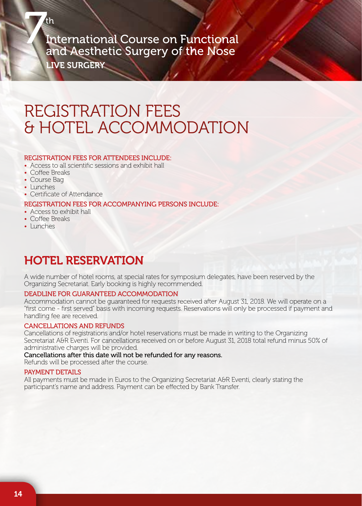### REGISTRATION FEES & HOTEL ACCOMMODATION

#### REGISTRATION FEES FOR ATTENDEES INCLUDE:

- Access to all scientific sessions and exhibit hall
- Coffee Breaks
- Course Bag
- Lunches
- Certificate of Attendance

#### REGISTRATION FEES FOR ACCOMPANYING PERSONS INCLUDE:

- Access to exhibit hall
- Coffee Breaks
- Lunches

### HOTEL RESERVATION

A wide number of hotel rooms, at special rates for symposium delegates, have been reserved by the Organizing Secretariat. Early booking is highly recommended.

#### DEADLINE FOR GUARANTEED ACCOMMODATION

Accommodation cannot be guaranteed for requests received after August 31, 2018. We will operate on a "first come - first served" basis with incoming requests. Reservations will only be processed if payment and handling fee are received.

#### CANCELLATIONS AND REFUNDS

Cancellations of registrations and/or hotel reservations must be made in writing to the Organizing Secretariat A&R Eventi. For cancellations received on or before August 31, 2018 total refund minus 50% of administrative charges will be provided.

Cancellations after this date will not be refunded for any reasons.

Refunds will be processed after the course.

#### PAYMENT DETAILS

All payments must be made in Euros to the Organizing Secretariat A&R Eventi, clearly stating the participant's name and address. Payment can be effected by Bank Transfer.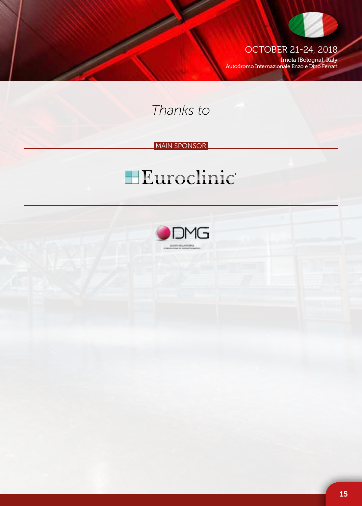

OCTOBER 21-24, 2018 Imola (Bologna), Italy Autodromo Internazionale Enzo e Dino Ferrari

*Thanks to*

#### **MAIN SPONSOR**

# **HEuroclinic**